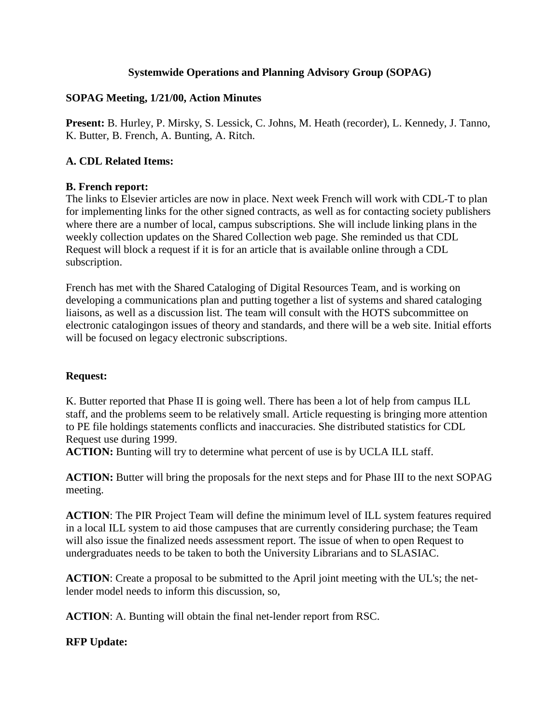# **Systemwide Operations and Planning Advisory Group (SOPAG)**

# **SOPAG Meeting, 1/21/00, Action Minutes**

**Present:** B. Hurley, P. Mirsky, S. Lessick, C. Johns, M. Heath (recorder), L. Kennedy, J. Tanno, K. Butter, B. French, A. Bunting, A. Ritch.

# **A. CDL Related Items:**

# **B. French report:**

The links to Elsevier articles are now in place. Next week French will work with CDL-T to plan for implementing links for the other signed contracts, as well as for contacting society publishers where there are a number of local, campus subscriptions. She will include linking plans in the weekly collection updates on the Shared Collection web page. She reminded us that CDL Request will block a request if it is for an article that is available online through a CDL subscription.

French has met with the Shared Cataloging of Digital Resources Team, and is working on developing a communications plan and putting together a list of systems and shared cataloging liaisons, as well as a discussion list. The team will consult with the HOTS subcommittee on electronic catalogingon issues of theory and standards, and there will be a web site. Initial efforts will be focused on legacy electronic subscriptions.

## **Request:**

K. Butter reported that Phase II is going well. There has been a lot of help from campus ILL staff, and the problems seem to be relatively small. Article requesting is bringing more attention to PE file holdings statements conflicts and inaccuracies. She distributed statistics for CDL Request use during 1999.

**ACTION:** Bunting will try to determine what percent of use is by UCLA ILL staff.

**ACTION:** Butter will bring the proposals for the next steps and for Phase III to the next SOPAG meeting.

**ACTION**: The PIR Project Team will define the minimum level of ILL system features required in a local ILL system to aid those campuses that are currently considering purchase; the Team will also issue the finalized needs assessment report. The issue of when to open Request to undergraduates needs to be taken to both the University Librarians and to SLASIAC.

**ACTION**: Create a proposal to be submitted to the April joint meeting with the UL's; the netlender model needs to inform this discussion, so,

**ACTION**: A. Bunting will obtain the final net-lender report from RSC.

# **RFP Update:**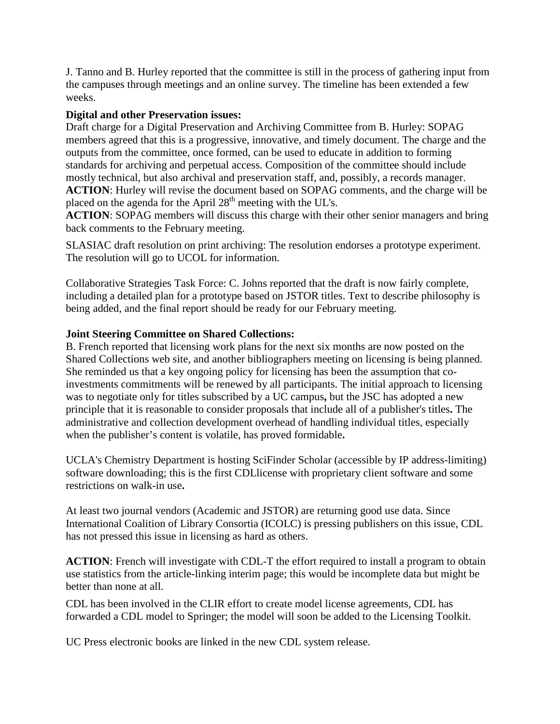J. Tanno and B. Hurley reported that the committee is still in the process of gathering input from the campuses through meetings and an online survey. The timeline has been extended a few weeks.

## **Digital and other Preservation issues:**

Draft charge for a Digital Preservation and Archiving Committee from B. Hurley: SOPAG members agreed that this is a progressive, innovative, and timely document. The charge and the outputs from the committee, once formed, can be used to educate in addition to forming standards for archiving and perpetual access. Composition of the committee should include mostly technical, but also archival and preservation staff, and, possibly, a records manager. **ACTION**: Hurley will revise the document based on SOPAG comments, and the charge will be placed on the agenda for the April 28<sup>th</sup> meeting with the UL's.

**ACTION**: SOPAG members will discuss this charge with their other senior managers and bring back comments to the February meeting.

SLASIAC draft resolution on print archiving: The resolution endorses a prototype experiment. The resolution will go to UCOL for information.

Collaborative Strategies Task Force: C. Johns reported that the draft is now fairly complete, including a detailed plan for a prototype based on JSTOR titles. Text to describe philosophy is being added, and the final report should be ready for our February meeting.

### **Joint Steering Committee on Shared Collections:**

B. French reported that licensing work plans for the next six months are now posted on the Shared Collections web site, and another bibliographers meeting on licensing is being planned. She reminded us that a key ongoing policy for licensing has been the assumption that coinvestments commitments will be renewed by all participants. The initial approach to licensing was to negotiate only for titles subscribed by a UC campus**,** but the JSC has adopted a new principle that it is reasonable to consider proposals that include all of a publisher's titles**.** The administrative and collection development overhead of handling individual titles, especially when the publisher's content is volatile, has proved formidable**.**

UCLA's Chemistry Department is hosting SciFinder Scholar (accessible by IP address-limiting) software downloading; this is the first CDLlicense with proprietary client software and some restrictions on walk-in use**.**

At least two journal vendors (Academic and JSTOR) are returning good use data. Since International Coalition of Library Consortia (ICOLC) is pressing publishers on this issue, CDL has not pressed this issue in licensing as hard as others.

**ACTION**: French will investigate with CDL-T the effort required to install a program to obtain use statistics from the article-linking interim page; this would be incomplete data but might be better than none at all.

CDL has been involved in the CLIR effort to create model license agreements, CDL has forwarded a CDL model to Springer; the model will soon be added to the Licensing Toolkit.

UC Press electronic books are linked in the new CDL system release.